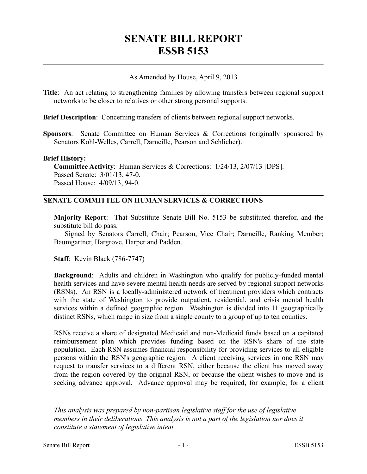# **SENATE BILL REPORT ESSB 5153**

# As Amended by House, April 9, 2013

**Title**: An act relating to strengthening families by allowing transfers between regional support networks to be closer to relatives or other strong personal supports.

**Brief Description**: Concerning transfers of clients between regional support networks.

**Sponsors**: Senate Committee on Human Services & Corrections (originally sponsored by Senators Kohl-Welles, Carrell, Darneille, Pearson and Schlicher).

#### **Brief History:**

**Committee Activity**: Human Services & Corrections: 1/24/13, 2/07/13 [DPS]. Passed Senate: 3/01/13, 47-0. Passed House: 4/09/13, 94-0.

# **SENATE COMMITTEE ON HUMAN SERVICES & CORRECTIONS**

**Majority Report**: That Substitute Senate Bill No. 5153 be substituted therefor, and the substitute bill do pass.

Signed by Senators Carrell, Chair; Pearson, Vice Chair; Darneille, Ranking Member; Baumgartner, Hargrove, Harper and Padden.

**Staff**: Kevin Black (786-7747)

**Background**: Adults and children in Washington who qualify for publicly-funded mental health services and have severe mental health needs are served by regional support networks (RSNs). An RSN is a locally-administered network of treatment providers which contracts with the state of Washington to provide outpatient, residential, and crisis mental health services within a defined geographic region. Washington is divided into 11 geographically distinct RSNs, which range in size from a single county to a group of up to ten counties.

RSNs receive a share of designated Medicaid and non-Medicaid funds based on a capitated reimbursement plan which provides funding based on the RSN's share of the state population. Each RSN assumes financial responsibility for providing services to all eligible persons within the RSN's geographic region. A client receiving services in one RSN may request to transfer services to a different RSN, either because the client has moved away from the region covered by the original RSN, or because the client wishes to move and is seeking advance approval. Advance approval may be required, for example, for a client

––––––––––––––––––––––

*This analysis was prepared by non-partisan legislative staff for the use of legislative members in their deliberations. This analysis is not a part of the legislation nor does it constitute a statement of legislative intent.*